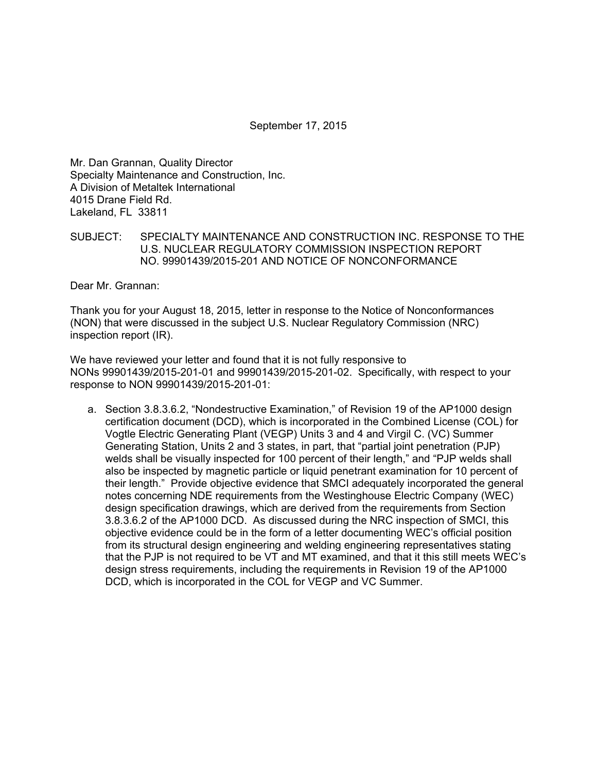September 17, 2015

Mr. Dan Grannan, Quality Director Specialty Maintenance and Construction, Inc. A Division of Metaltek International 4015 Drane Field Rd. Lakeland, FL 33811

SUBJECT: SPECIALTY MAINTENANCE AND CONSTRUCTION INC. RESPONSE TO THE U.S. NUCLEAR REGULATORY COMMISSION INSPECTION REPORT NO. 99901439/2015-201 AND NOTICE OF NONCONFORMANCE

Dear Mr. Grannan:

Thank you for your August 18, 2015, letter in response to the Notice of Nonconformances (NON) that were discussed in the subject U.S. Nuclear Regulatory Commission (NRC) inspection report (IR).

We have reviewed your letter and found that it is not fully responsive to NONs 99901439/2015-201-01 and 99901439/2015-201-02. Specifically, with respect to your response to NON 99901439/2015-201-01:

a. Section 3.8.3.6.2, "Nondestructive Examination," of Revision 19 of the AP1000 design certification document (DCD), which is incorporated in the Combined License (COL) for Vogtle Electric Generating Plant (VEGP) Units 3 and 4 and Virgil C. (VC) Summer Generating Station, Units 2 and 3 states, in part, that "partial joint penetration (PJP) welds shall be visually inspected for 100 percent of their length," and "PJP welds shall also be inspected by magnetic particle or liquid penetrant examination for 10 percent of their length." Provide objective evidence that SMCI adequately incorporated the general notes concerning NDE requirements from the Westinghouse Electric Company (WEC) design specification drawings, which are derived from the requirements from Section 3.8.3.6.2 of the AP1000 DCD. As discussed during the NRC inspection of SMCI, this objective evidence could be in the form of a letter documenting WEC's official position from its structural design engineering and welding engineering representatives stating that the PJP is not required to be VT and MT examined, and that it this still meets WEC's design stress requirements, including the requirements in Revision 19 of the AP1000 DCD, which is incorporated in the COL for VEGP and VC Summer.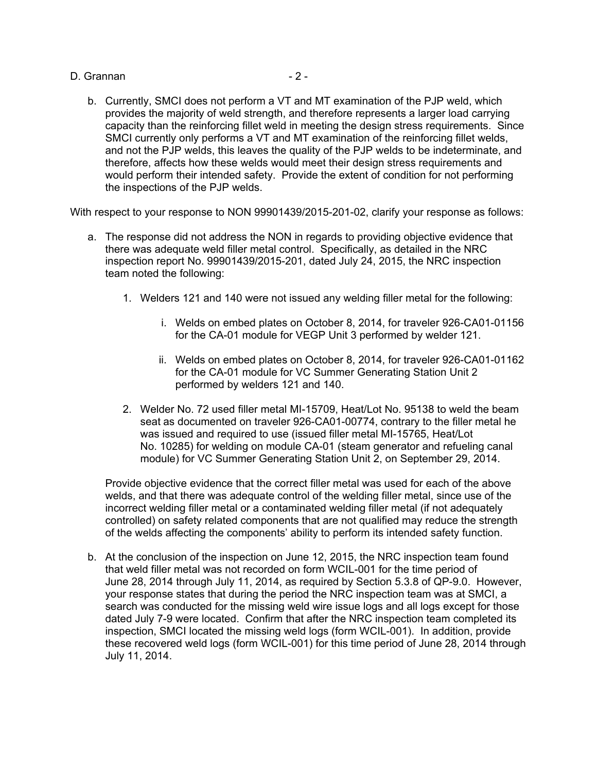D. Grannan - 2 - 2 -

b. Currently, SMCI does not perform a VT and MT examination of the PJP weld, which provides the majority of weld strength, and therefore represents a larger load carrying capacity than the reinforcing fillet weld in meeting the design stress requirements. Since SMCI currently only performs a VT and MT examination of the reinforcing fillet welds, and not the PJP welds, this leaves the quality of the PJP welds to be indeterminate, and therefore, affects how these welds would meet their design stress requirements and would perform their intended safety. Provide the extent of condition for not performing the inspections of the PJP welds.

With respect to your response to NON 99901439/2015-201-02, clarify your response as follows:

- a. The response did not address the NON in regards to providing objective evidence that there was adequate weld filler metal control. Specifically, as detailed in the NRC inspection report No. 99901439/2015-201, dated July 24, 2015, the NRC inspection team noted the following:
	- 1. Welders 121 and 140 were not issued any welding filler metal for the following:
		- i. Welds on embed plates on October 8, 2014, for traveler 926-CA01-01156 for the CA-01 module for VEGP Unit 3 performed by welder 121.
		- ii. Welds on embed plates on October 8, 2014, for traveler 926-CA01-01162 for the CA-01 module for VC Summer Generating Station Unit 2 performed by welders 121 and 140.
	- 2. Welder No. 72 used filler metal MI-15709, Heat/Lot No. 95138 to weld the beam seat as documented on traveler 926-CA01-00774, contrary to the filler metal he was issued and required to use (issued filler metal MI-15765, Heat/Lot No. 10285) for welding on module CA-01 (steam generator and refueling canal module) for VC Summer Generating Station Unit 2, on September 29, 2014.

Provide objective evidence that the correct filler metal was used for each of the above welds, and that there was adequate control of the welding filler metal, since use of the incorrect welding filler metal or a contaminated welding filler metal (if not adequately controlled) on safety related components that are not qualified may reduce the strength of the welds affecting the components' ability to perform its intended safety function.

b. At the conclusion of the inspection on June 12, 2015, the NRC inspection team found that weld filler metal was not recorded on form WCIL-001 for the time period of June 28, 2014 through July 11, 2014, as required by Section 5.3.8 of QP-9.0. However, your response states that during the period the NRC inspection team was at SMCI, a search was conducted for the missing weld wire issue logs and all logs except for those dated July 7-9 were located. Confirm that after the NRC inspection team completed its inspection, SMCI located the missing weld logs (form WCIL-001). In addition, provide these recovered weld logs (form WCIL-001) for this time period of June 28, 2014 through July 11, 2014.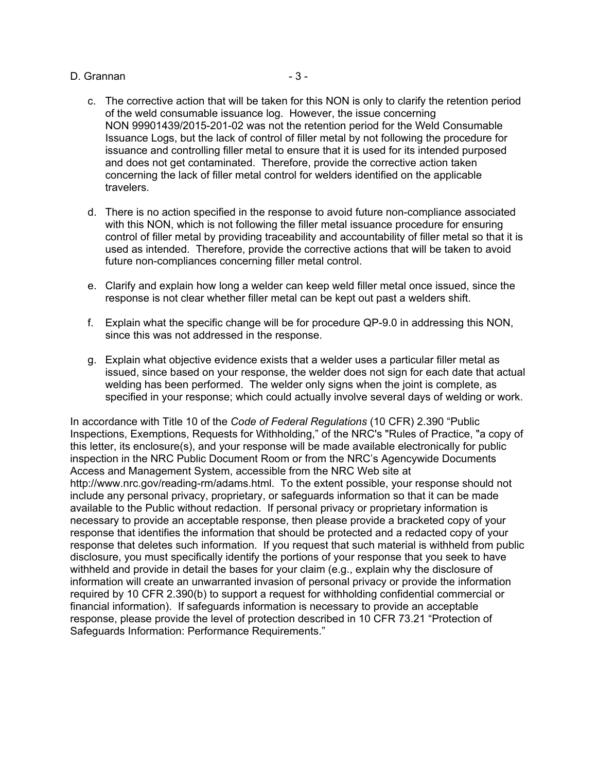## D. Grannan - 3 -

- c. The corrective action that will be taken for this NON is only to clarify the retention period of the weld consumable issuance log. However, the issue concerning NON 99901439/2015-201-02 was not the retention period for the Weld Consumable Issuance Logs, but the lack of control of filler metal by not following the procedure for issuance and controlling filler metal to ensure that it is used for its intended purposed and does not get contaminated. Therefore, provide the corrective action taken concerning the lack of filler metal control for welders identified on the applicable travelers.
- d. There is no action specified in the response to avoid future non-compliance associated with this NON, which is not following the filler metal issuance procedure for ensuring control of filler metal by providing traceability and accountability of filler metal so that it is used as intended. Therefore, provide the corrective actions that will be taken to avoid future non-compliances concerning filler metal control.
- e. Clarify and explain how long a welder can keep weld filler metal once issued, since the response is not clear whether filler metal can be kept out past a welders shift.
- f. Explain what the specific change will be for procedure QP-9.0 in addressing this NON, since this was not addressed in the response.
- g. Explain what objective evidence exists that a welder uses a particular filler metal as issued, since based on your response, the welder does not sign for each date that actual welding has been performed. The welder only signs when the joint is complete, as specified in your response; which could actually involve several days of welding or work.

In accordance with Title 10 of the *Code of Federal Regulations* (10 CFR) 2.390 "Public Inspections, Exemptions, Requests for Withholding," of the NRC's "Rules of Practice, "a copy of this letter, its enclosure(s), and your response will be made available electronically for public inspection in the NRC Public Document Room or from the NRC's Agencywide Documents Access and Management System, accessible from the NRC Web site at http://www.nrc.gov/reading-rm/adams.html. To the extent possible, your response should not include any personal privacy, proprietary, or safeguards information so that it can be made available to the Public without redaction. If personal privacy or proprietary information is necessary to provide an acceptable response, then please provide a bracketed copy of your response that identifies the information that should be protected and a redacted copy of your response that deletes such information. If you request that such material is withheld from public disclosure, you must specifically identify the portions of your response that you seek to have withheld and provide in detail the bases for your claim (e.g., explain why the disclosure of information will create an unwarranted invasion of personal privacy or provide the information required by 10 CFR 2.390(b) to support a request for withholding confidential commercial or financial information). If safeguards information is necessary to provide an acceptable response, please provide the level of protection described in 10 CFR 73.21 "Protection of Safeguards Information: Performance Requirements."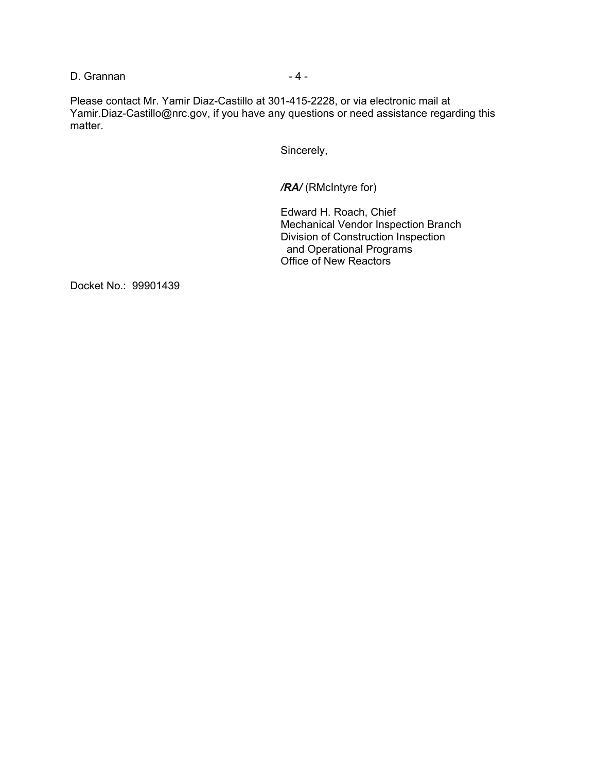D. Grannan - 4 -

Please contact Mr. Yamir Diaz-Castillo at 301-415-2228, or via electronic mail at Yamir.Diaz-Castillo@nrc.gov, if you have any questions or need assistance regarding this matter.

Sincerely,

*/RA/* (RMcIntyre for)

Edward H. Roach, Chief Mechanical Vendor Inspection Branch Division of Construction Inspection and Operational Programs Office of New Reactors

Docket No.: 99901439